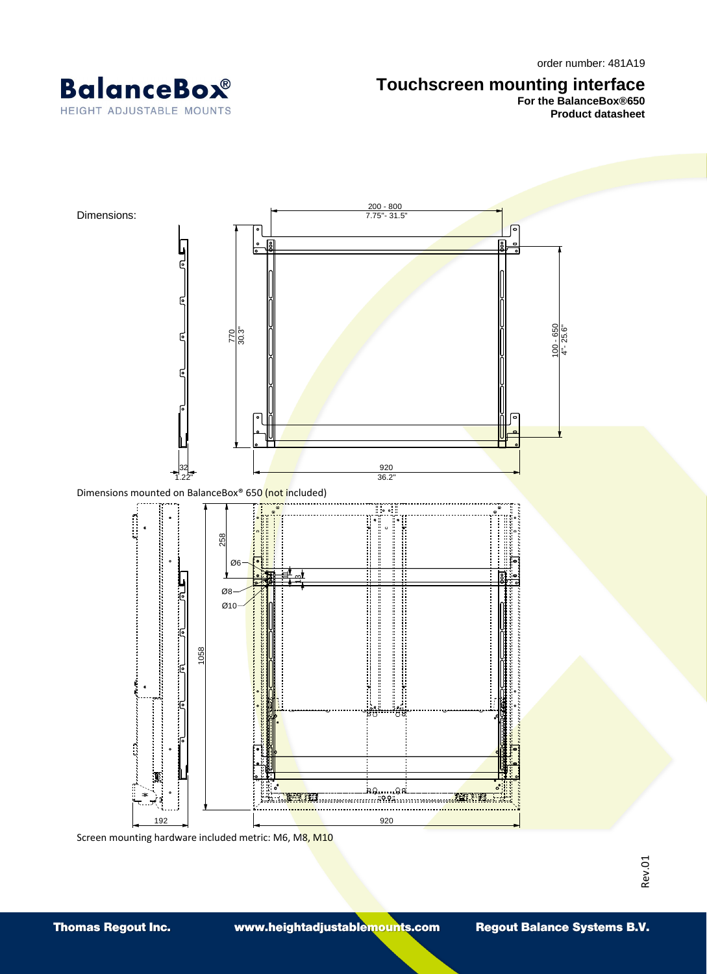

## **Touchscreen mounting interface**

**For the BalanceBox®650 Product datasheet**



Screen mounting hardware included metric: M6, M8, M10

Rev.01